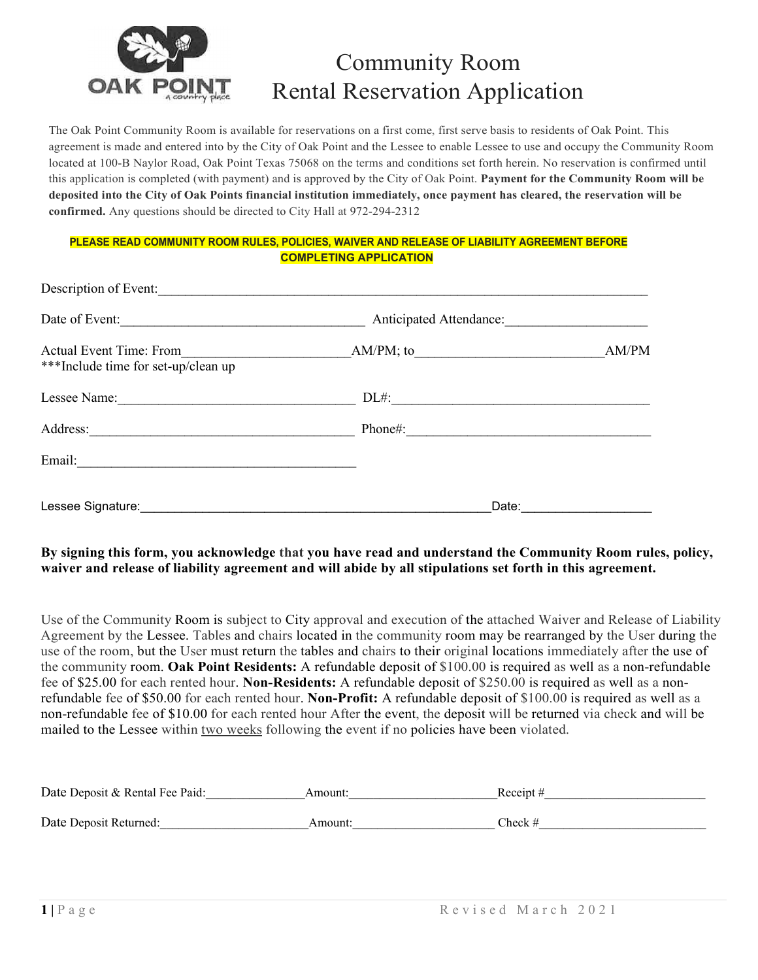

# Community Room Rental Reservation Application

The Oak Point Community Room is available for reservations on a first come, first serve basis to residents of Oak Point. This agreement is made and entered into by the City of Oak Point and the Lessee to enable Lessee to use and occupy the Community Room located at 100-B Naylor Road, Oak Point Texas 75068 on the terms and conditions set forth herein. No reservation is confirmed until this application is completed (with payment) and is approved by the City of Oak Point. **Payment for the Community Room will be deposited into the City of Oak Points financial institution immediately, once payment has cleared, the reservation will be confirmed.** Any questions should be directed to City Hall at 972-294-2312

### **PLEASE READ COMMUNITY ROOM RULES, POLICIES, WAIVER AND RELEASE OF LIABILITY AGREEMENT BEFORE COMPLETING APPLICATION**

| Description of Event:                                                 |                         |                                                                                                                      |
|-----------------------------------------------------------------------|-------------------------|----------------------------------------------------------------------------------------------------------------------|
| Date of Event:                                                        | Anticipated Attendance: |                                                                                                                      |
| <b>Actual Event Time: From</b><br>***Include time for set-up/clean up | $AM/PM$ ; to            | AM/PM                                                                                                                |
| Lessee Name:                                                          | $DL#$ :                 | <u> 1980 - Jan Stein Berlin, marka mendebat dan berlindar perang dan berlindas perang dan berlindas dan berlinda</u> |
| Address:                                                              | Phone#:                 |                                                                                                                      |
| Email:                                                                |                         |                                                                                                                      |
| Lessee Signature:                                                     | Date: $\_\_$            |                                                                                                                      |

## **By signing this form, you acknowledge that you have read and understand the Community Room rules, policy, waiver and release of liability agreement and will abide by all stipulations set forth in this agreement.**

Use of the Community Room is subject to City approval and execution of the attached Waiver and Release of Liability Agreement by the Lessee. Tables and chairs located in the community room may be rearranged by the User during the use of the room, but the User must return the tables and chairs to their original locations immediately after the use of the community room. **Oak Point Residents:** A refundable deposit of \$100.00 is required as well as a non-refundable fee of \$25.00 for each rented hour. **Non-Residents:** A refundable deposit of \$250.00 is required as well as a nonrefundable fee of \$50.00 for each rented hour. **Non-Profit:** A refundable deposit of \$100.00 is required as well as a non-refundable fee of \$10.00 for each rented hour After the event, the deposit will be returned via check and will be mailed to the Lessee within two weeks following the event if no policies have been violated.

| Date Deposit & Rental Fee Paid: | Amount: | Receipt $#$ |
|---------------------------------|---------|-------------|
| Date Deposit Returned:          | Amount: | Check $#$   |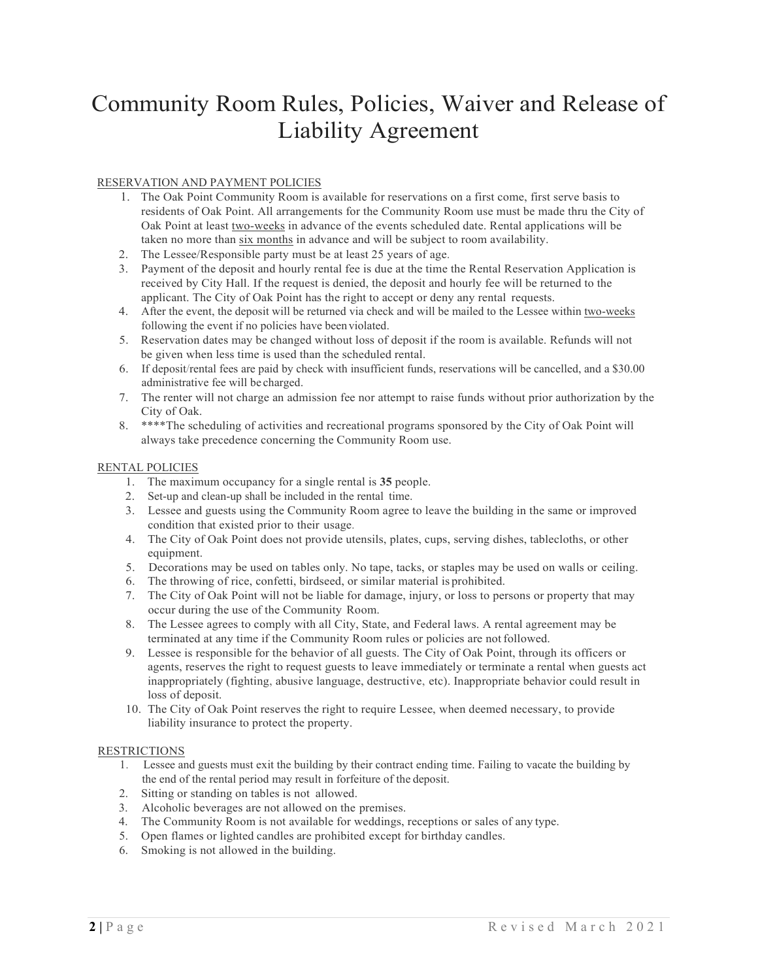# Community Room Rules, Policies, Waiver and Release of Liability Agreement

#### RESERVATION AND PAYMENT POLICIES

- 1. The Oak Point Community Room is available for reservations on a first come, first serve basis to residents of Oak Point. All arrangements for the Community Room use must be made thru the City of Oak Point at least two-weeks in advance of the events scheduled date. Rental applications will be taken no more than six months in advance and will be subject to room availability.
- 2. The Lessee/Responsible party must be at least 25 years of age.
- 3. Payment of the deposit and hourly rental fee is due at the time the Rental Reservation Application is received by City Hall. If the request is denied, the deposit and hourly fee will be returned to the applicant. The City of Oak Point has the right to accept or deny any rental requests.
- 4. After the event, the deposit will be returned via check and will be mailed to the Lessee within two-weeks following the event if no policies have been violated.
- 5. Reservation dates may be changed without loss of deposit if the room is available. Refunds will not be given when less time is used than the scheduled rental.
- 6. If deposit/rental fees are paid by check with insufficient funds, reservations will be cancelled, and a \$30.00 administrative fee will be charged.
- 7. The renter will not charge an admission fee nor attempt to raise funds without prior authorization by the City of Oak.
- 8. \*\*\*\*The scheduling of activities and recreational programs sponsored by the City of Oak Point will always take precedence concerning the Community Room use.

#### RENTAL POLICIES

- 1. The maximum occupancy for a single rental is **35** people.
- 2. Set-up and clean-up shall be included in the rental time.
- 3. Lessee and guests using the Community Room agree to leave the building in the same or improved condition that existed prior to their usage.
- 4. The City of Oak Point does not provide utensils, plates, cups, serving dishes, tablecloths, or other equipment.
- 5. Decorations may be used on tables only. No tape, tacks, or staples may be used on walls or ceiling.
- 6. The throwing of rice, confetti, birdseed, or similar material is prohibited.
- 7. The City of Oak Point will not be liable for damage, injury, or loss to persons or property that may occur during the use of the Community Room.
- 8. The Lessee agrees to comply with all City, State, and Federal laws. A rental agreement may be terminated at any time if the Community Room rules or policies are not followed.
- 9. Lessee is responsible for the behavior of all guests. The City of Oak Point, through its officers or agents, reserves the right to request guests to leave immediately or terminate a rental when guests act inappropriately (fighting, abusive language, destructive, etc). Inappropriate behavior could result in loss of deposit.
- 10. The City of Oak Point reserves the right to require Lessee, when deemed necessary, to provide liability insurance to protect the property.

#### RESTRICTIONS

- 1. Lessee and guests must exit the building by their contract ending time. Failing to vacate the building by the end of the rental period may result in forfeiture of the deposit.
- 2. Sitting or standing on tables is not allowed.
- 3. Alcoholic beverages are not allowed on the premises.
- 4. The Community Room is not available for weddings, receptions or sales of any type.
- 5. Open flames or lighted candles are prohibited except for birthday candles.
- 6. Smoking is not allowed in the building.